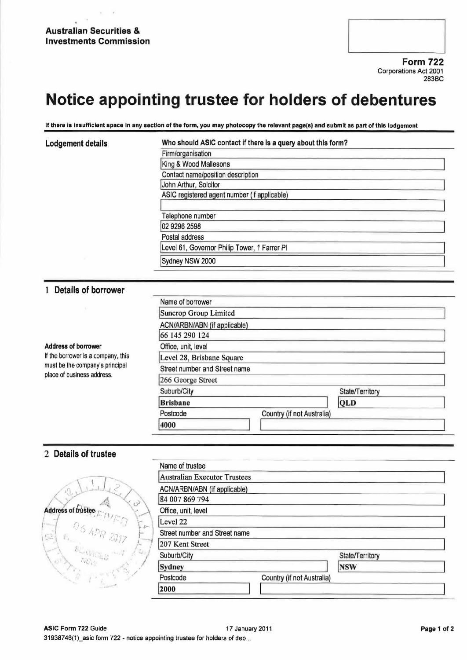## Australian Securities & Investments Commission

Form 722 Corporations Act 2001 283BC

# Notice appointing trustee for holders of debentures

If there is insufficient space in any section of the form, you may photocopy the relevant page(s) and submit as part of this lodgement

#### Lodgement details **Who should ASIC contact if there is a query about this form?**

| Firm/organisation                            |  |
|----------------------------------------------|--|
| King & Wood Mallesons                        |  |
| Contact name/position description            |  |
| John Arthur, Solcitor                        |  |
| ASIC registered agent number (if applicable) |  |
| Telephone number                             |  |
| 02 9296 2598                                 |  |
| Postal address                               |  |
| Level 61, Governor Philip Tower, 1 Farrer PI |  |
| Sydney NSW 2000                              |  |

## <sup>1</sup> Details of borrower

| <b>Address of borrower</b><br>If the borrower is a company, this<br>must be the company's principal<br>place of business address. | Name of borrower              |                            |                 |
|-----------------------------------------------------------------------------------------------------------------------------------|-------------------------------|----------------------------|-----------------|
|                                                                                                                                   | Suncrop Group Limited         |                            |                 |
|                                                                                                                                   | ACN/ARBN/ABN (if applicable)  |                            |                 |
|                                                                                                                                   | 66 145 290 124                |                            |                 |
|                                                                                                                                   | Office, unit, level           |                            |                 |
|                                                                                                                                   | Level 28, Brisbane Square     |                            |                 |
|                                                                                                                                   | Street number and Street name |                            |                 |
|                                                                                                                                   | 266 George Street             |                            |                 |
|                                                                                                                                   | Suburb/City                   |                            | State/Territory |
|                                                                                                                                   | <b>Brisbane</b>               |                            | QLD             |
|                                                                                                                                   | Postcode                      | Country (if not Australia) |                 |
|                                                                                                                                   | 4000                          |                            |                 |

## 2 Details of trustee

|                            | Name of trustee                     |                            |                 |  |
|----------------------------|-------------------------------------|----------------------------|-----------------|--|
|                            | <b>Australian Executor Trustees</b> |                            |                 |  |
|                            | ACN/ARBN/ABN (if applicable)        |                            |                 |  |
|                            | 84 007 869 794                      |                            |                 |  |
| Address of frustee.        | Office, unit, level                 |                            |                 |  |
| F                          | Level 22                            |                            |                 |  |
| $06$ APR 2017<br>$\ominus$ | Street number and Street name       |                            |                 |  |
| <b>Continental</b>         | 207 Kent Street                     |                            |                 |  |
| v.Co                       | Suburb/City                         |                            | State/Territory |  |
|                            | Sydney                              |                            | <b>NSW</b>      |  |
|                            | Postcode                            | Country (if not Australia) |                 |  |
|                            | 2000                                |                            |                 |  |
|                            |                                     |                            |                 |  |